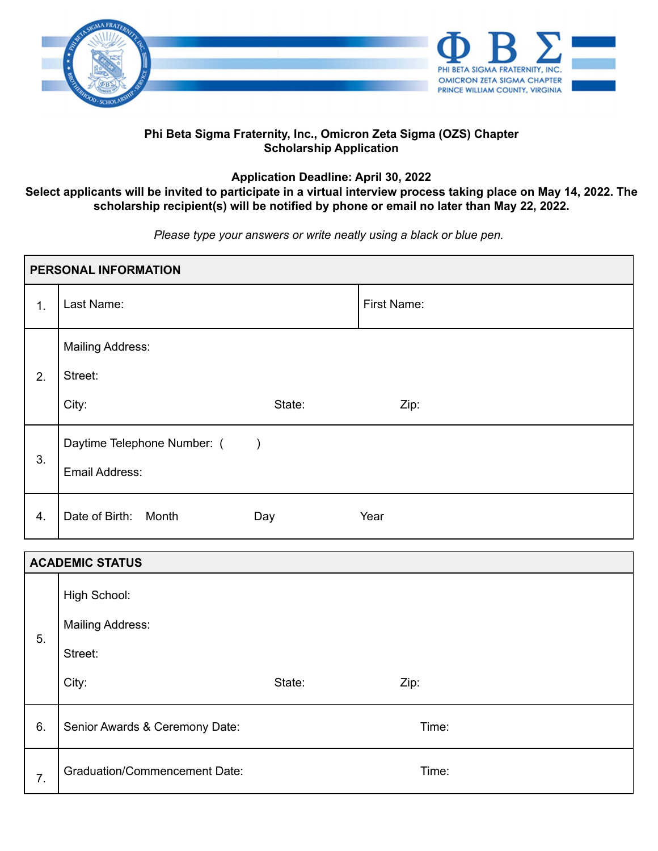

#### **Phi Beta Sigma Fraternity, Inc., Omicron Zeta Sigma (OZS) Chapter Scholarship Application**

**Application Deadline: April 30, 2022**

### Select applicants will be invited to participate in a virtual interview process taking place on May 14, 2022. The **scholarship recipient(s) will be notified by phone or email no later than May 22, 2022.**

*Please type your answers or write neatly using a black or blue pen.*

| PERSONAL INFORMATION |                                               |               |             |
|----------------------|-----------------------------------------------|---------------|-------------|
| 1.                   | Last Name:                                    |               | First Name: |
| 2.                   | <b>Mailing Address:</b><br>Street:<br>City:   | State:        | Zip:        |
| 3.                   | Daytime Telephone Number: (<br>Email Address: | $\rightarrow$ |             |
| 4.                   | Date of Birth: Month                          | Day           | Year        |

| <b>ACADEMIC STATUS</b> |                                                             |        |       |  |
|------------------------|-------------------------------------------------------------|--------|-------|--|
| 5.                     | High School:<br><b>Mailing Address:</b><br>Street:<br>City: | State: | Zip:  |  |
| 6.                     | Senior Awards & Ceremony Date:                              |        | Time: |  |
| 7.                     | <b>Graduation/Commencement Date:</b>                        |        | Time: |  |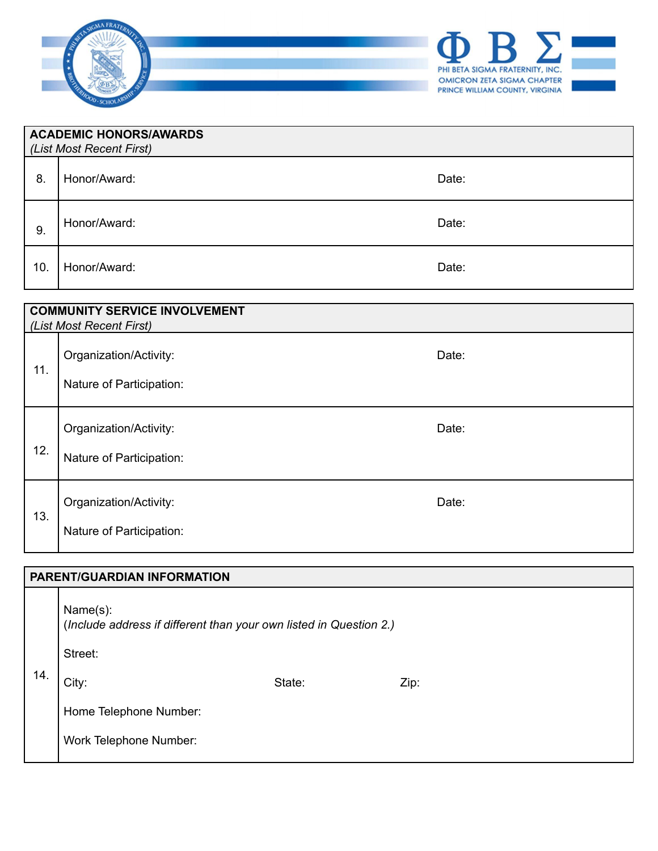

| ACADEMIC HONORS/AWARDS<br>(List Most Recent First) |              |       |  |
|----------------------------------------------------|--------------|-------|--|
| 8.                                                 | Honor/Award: | Date: |  |
| 9.                                                 | Honor/Award: | Date: |  |
| 10.                                                | Honor/Award: | Date: |  |

| <b>COMMUNITY SERVICE INVOLVEMENT</b><br>(List Most Recent First) |                                                    |       |  |  |
|------------------------------------------------------------------|----------------------------------------------------|-------|--|--|
| 11.                                                              | Organization/Activity:<br>Nature of Participation: | Date: |  |  |
| 12.                                                              | Organization/Activity:<br>Nature of Participation: | Date: |  |  |
| 13.                                                              | Organization/Activity:<br>Nature of Participation: | Date: |  |  |

# **PARENT/GUARDIAN INFORMATION** 14. Name(s): (*Include address if different than your own listed in Question 2.)* Street: City:  $\qquad \qquad$  State:  $\qquad \qquad$  Zip: Home Telephone Number: Work Telephone Number: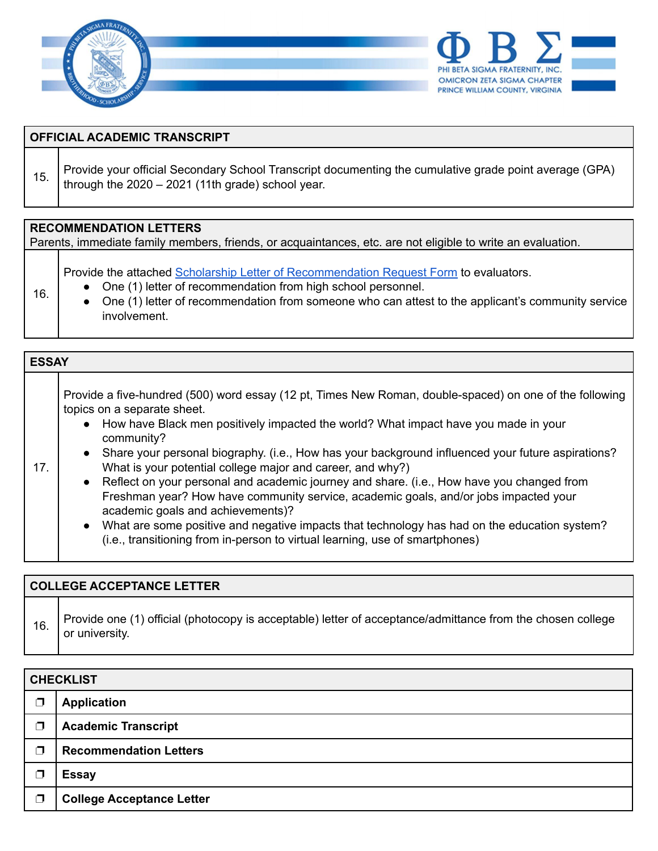

| <b>OFFICIAL ACADEMIC TRANSCRIPT</b>                                                                                                          |                                                                                                                                                               |  |  |
|----------------------------------------------------------------------------------------------------------------------------------------------|---------------------------------------------------------------------------------------------------------------------------------------------------------------|--|--|
| 15.                                                                                                                                          | Provide your official Secondary School Transcript documenting the cumulative grade point average (GPA)<br>through the $2020 - 2021$ (11th grade) school year. |  |  |
| <b>RECOMMENDATION LETTERS</b><br>Parents, immediate family members, friends, or acquaintances, etc. are not eligible to write an evaluation. |                                                                                                                                                               |  |  |

Provide the attached Scholarship Letter of [Recommendation](https://drive.google.com/file/d/16tRP6YRJy0mgbelkEzugOh0zMwQ-LUU7/view?usp=sharing) Request Form to evaluators.

● One (1) letter of recommendation from high school personnel.

16.

● One (1) letter of recommendation from someone who can attest to the applicant's community service involvement.

| <b>ESSAY</b> |                                                                                                                                                                                                                                                                                                                                                                                                                                                                                                                                                                                                                                                                                                                                                                                                                                             |  |  |  |
|--------------|---------------------------------------------------------------------------------------------------------------------------------------------------------------------------------------------------------------------------------------------------------------------------------------------------------------------------------------------------------------------------------------------------------------------------------------------------------------------------------------------------------------------------------------------------------------------------------------------------------------------------------------------------------------------------------------------------------------------------------------------------------------------------------------------------------------------------------------------|--|--|--|
| 17.          | Provide a five-hundred (500) word essay (12 pt, Times New Roman, double-spaced) on one of the following<br>topics on a separate sheet.<br>• How have Black men positively impacted the world? What impact have you made in your<br>community?<br>• Share your personal biography. (i.e., How has your background influenced your future aspirations?<br>What is your potential college major and career, and why?)<br>• Reflect on your personal and academic journey and share. (i.e., How have you changed from<br>Freshman year? How have community service, academic goals, and/or jobs impacted your<br>academic goals and achievements)?<br>What are some positive and negative impacts that technology has had on the education system?<br>$\bullet$<br>(i.e., transitioning from in-person to virtual learning, use of smartphones) |  |  |  |

# **COLLEGE ACCEPTANCE LETTER** 16. Provide one (1) official (photocopy is acceptable) letter of acceptance/admittance from the chosen college or university.

| <b>CHECKLIST</b> |                                  |  |
|------------------|----------------------------------|--|
| ┑                | <b>Application</b>               |  |
| ┑                | <b>Academic Transcript</b>       |  |
| ٦                | <b>Recommendation Letters</b>    |  |
| ٦                | <b>Essay</b>                     |  |
| ┑                | <b>College Acceptance Letter</b> |  |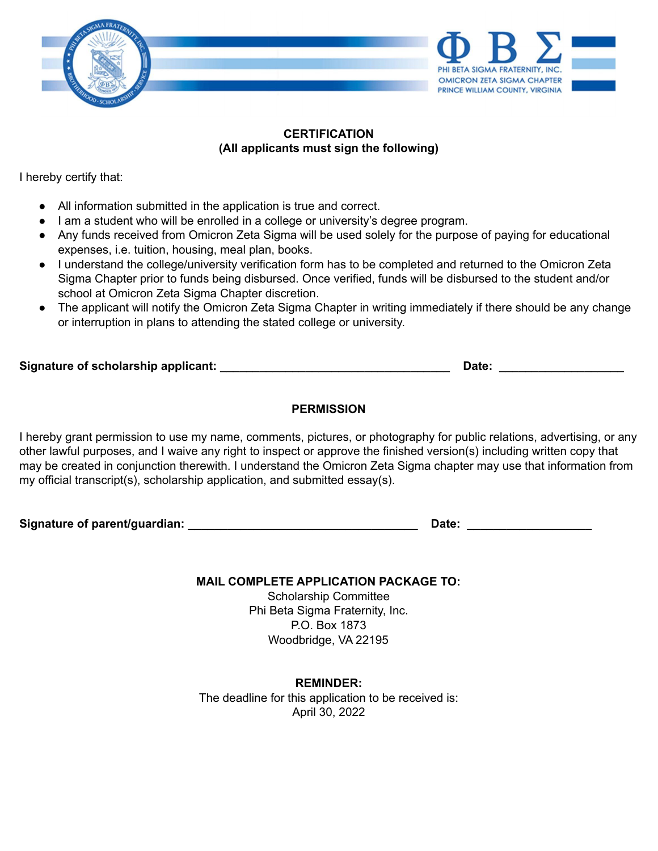

#### **CERTIFICATION (All applicants must sign the following)**

I hereby certify that:

- All information submitted in the application is true and correct.
- I am a student who will be enrolled in a college or university's degree program.
- Any funds received from Omicron Zeta Sigma will be used solely for the purpose of paying for educational expenses, i.e. tuition, housing, meal plan, books.
- I understand the college/university verification form has to be completed and returned to the Omicron Zeta Sigma Chapter prior to funds being disbursed. Once verified, funds will be disbursed to the student and/or school at Omicron Zeta Sigma Chapter discretion.
- The applicant will notify the Omicron Zeta Sigma Chapter in writing immediately if there should be any change or interruption in plans to attending the stated college or university.

| Signature of scholarship applicant: |  |  |  |
|-------------------------------------|--|--|--|
|                                     |  |  |  |

**Signature of scholarship applicant: \_\_\_\_\_\_\_\_\_\_\_\_\_\_\_\_\_\_\_\_\_\_\_\_\_\_\_\_\_\_\_\_\_\_\_ Date: \_\_\_\_\_\_\_\_\_\_\_\_\_\_\_\_\_\_\_**

## **PERMISSION**

I hereby grant permission to use my name, comments, pictures, or photography for public relations, advertising, or any other lawful purposes, and I waive any right to inspect or approve the finished version(s) including written copy that may be created in conjunction therewith. I understand the Omicron Zeta Sigma chapter may use that information from my official transcript(s), scholarship application, and submitted essay(s).

**Signature of parent/guardian: \_\_\_\_\_\_\_\_\_\_\_\_\_\_\_\_\_\_\_\_\_\_\_\_\_\_\_\_\_\_\_\_\_\_\_ Date: \_\_\_\_\_\_\_\_\_\_\_\_\_\_\_\_\_\_\_**

**MAIL COMPLETE APPLICATION PACKAGE TO:**

Scholarship Committee Phi Beta Sigma Fraternity, Inc. P.O. Box 1873 Woodbridge, VA 22195

**REMINDER:** The deadline for this application to be received is: April 30, 2022